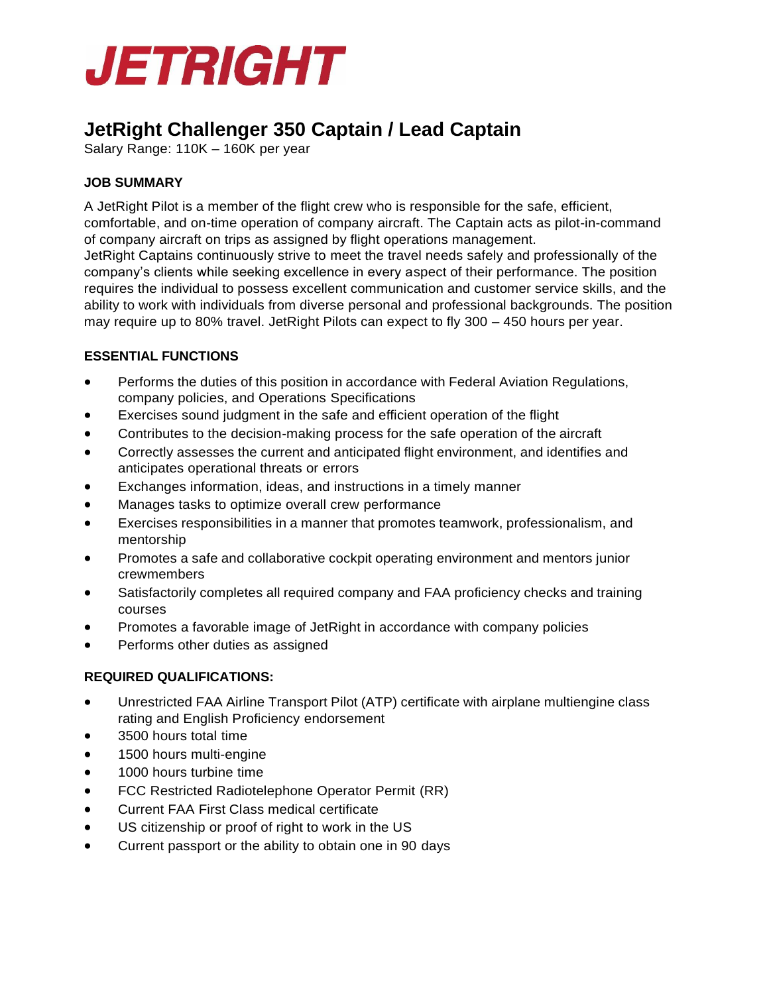

# **JetRight Challenger 350 Captain / Lead Captain**

Salary Range: 110K – 160K per year

# **JOB SUMMARY**

A JetRight Pilot is a member of the flight crew who is responsible for the safe, efficient, comfortable, and on-time operation of company aircraft. The Captain acts as pilot-in-command of company aircraft on trips as assigned by flight operations management. JetRight Captains continuously strive to meet the travel needs safely and professionally of the company's clients while seeking excellence in every aspect of their performance. The position requires the individual to possess excellent communication and customer service skills, and the ability to work with individuals from diverse personal and professional backgrounds. The position may require up to 80% travel. JetRight Pilots can expect to fly 300 – 450 hours per year.

## **ESSENTIAL FUNCTIONS**

- Performs the duties of this position in accordance with Federal Aviation Regulations, company policies, and Operations Specifications
- Exercises sound judgment in the safe and efficient operation of the flight
- Contributes to the decision-making process for the safe operation of the aircraft
- Correctly assesses the current and anticipated flight environment, and identifies and anticipates operational threats or errors
- Exchanges information, ideas, and instructions in a timely manner
- Manages tasks to optimize overall crew performance
- Exercises responsibilities in a manner that promotes teamwork, professionalism, and mentorship
- Promotes a safe and collaborative cockpit operating environment and mentors junior crewmembers
- Satisfactorily completes all required company and FAA proficiency checks and training courses
- Promotes a favorable image of JetRight in accordance with company policies
- Performs other duties as assigned

## **REQUIRED QUALIFICATIONS:**

- Unrestricted FAA Airline Transport Pilot (ATP) certificate with airplane multiengine class rating and English Proficiency endorsement
- 3500 hours total time
- 1500 hours multi-engine
- 1000 hours turbine time
- FCC Restricted Radiotelephone Operator Permit (RR)
- Current FAA First Class medical certificate
- US citizenship or proof of right to work in the US
- Current passport or the ability to obtain one in 90 days